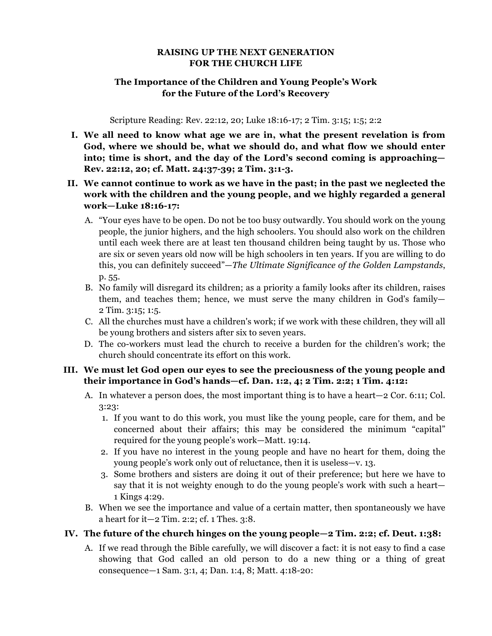## **RAISING UP THE NEXT GENERATION FOR THE CHURCH LIFE**

## **The Importance of the Children and Young People's Work for the Future of the Lord's Recovery**

Scripture Reading: Rev. 22:12, 20; Luke 18:16-17; 2 Tim. 3:15; 1:5; 2:2

- **I. We all need to know what age we are in, what the present revelation is from God, where we should be, what we should do, and what flow we should enter into; time is short, and the day of the Lord's second coming is approaching— Rev. 22:12, 20; cf. Matt. 24:37-39; 2 Tim. 3:1-3.**
- **II. We cannot continue to work as we have in the past; in the past we neglected the work with the children and the young people, and we highly regarded a general work—Luke 18:16-17:**
	- A. "Your eyes have to be open. Do not be too busy outwardly. You should work on the young people, the junior highers, and the high schoolers. You should also work on the children until each week there are at least ten thousand children being taught by us. Those who are six or seven years old now will be high schoolers in ten years. If you are willing to do this, you can definitely succeed"—*The Ultimate Significance of the Golden Lampstands*, p. 55.
	- B. No family will disregard its children; as a priority a family looks after its children, raises them, and teaches them; hence, we must serve the many children in God's family— 2 Tim. 3:15; 1:5.
	- C. All the churches must have a children's work; if we work with these children, they will all be young brothers and sisters after six to seven years.
	- D. The co-workers must lead the church to receive a burden for the children's work; the church should concentrate its effort on this work.

## **III. We must let God open our eyes to see the preciousness of the young people and their importance in God's hands—cf. Dan. 1:2, 4; 2 Tim. 2:2; 1 Tim. 4:12:**

- A. In whatever a person does, the most important thing is to have a heart—2 Cor. 6:11; Col. 3:23:
	- 1. If you want to do this work, you must like the young people, care for them, and be concerned about their affairs; this may be considered the minimum "capital" required for the young people's work—Matt. 19:14.
	- 2. If you have no interest in the young people and have no heart for them, doing the young people's work only out of reluctance, then it is useless—v. 13.
	- 3. Some brothers and sisters are doing it out of their preference; but here we have to say that it is not weighty enough to do the young people's work with such a heart— 1 Kings 4:29.
- B. When we see the importance and value of a certain matter, then spontaneously we have a heart for it—2 Tim. 2:2; cf. 1 Thes. 3:8.

## **IV. The future of the church hinges on the young people—2 Tim. 2:2; cf. Deut. 1:38:**

A. If we read through the Bible carefully, we will discover a fact: it is not easy to find a case showing that God called an old person to do a new thing or a thing of great consequence—1 Sam. 3:1, 4; Dan. 1:4, 8; Matt. 4:18-20: